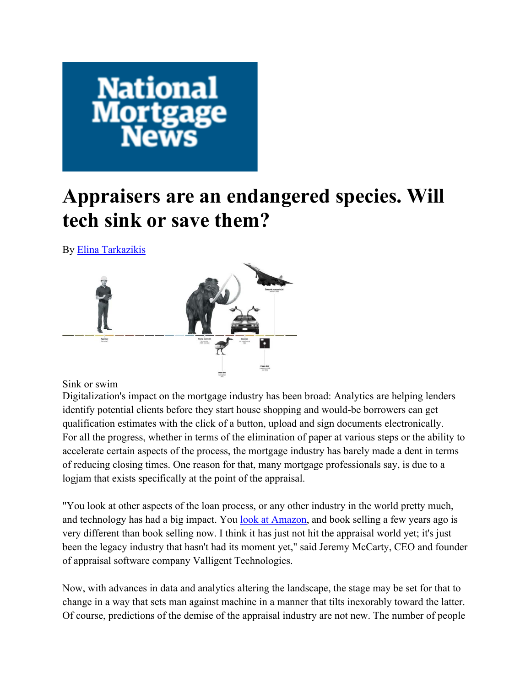

# **Appraisers are an endangered species. Will tech sink or save them?**

By Elina Tarkazikis



Sink or swim

Digitalization's impact on the mortgage industry has been broad: Analytics are helping lenders identify potential clients before they start house shopping and would-be borrowers can get qualification estimates with the click of a button, upload and sign documents electronically. For all the progress, whether in terms of the elimination of paper at various steps or the ability to accelerate certain aspects of the process, the mortgage industry has barely made a dent in terms of reducing closing times. One reason for that, many mortgage professionals say, is due to a logjam that exists specifically at the point of the appraisal.

"You look at other aspects of the loan process, or any other industry in the world pretty much, and technology has had a big impact. You look at Amazon, and book selling a few years ago is very different than book selling now. I think it has just not hit the appraisal world yet; it's just been the legacy industry that hasn't had its moment yet," said Jeremy McCarty, CEO and founder of appraisal software company Valligent Technologies.

Now, with advances in data and analytics altering the landscape, the stage may be set for that to change in a way that sets man against machine in a manner that tilts inexorably toward the latter. Of course, predictions of the demise of the appraisal industry are not new. The number of people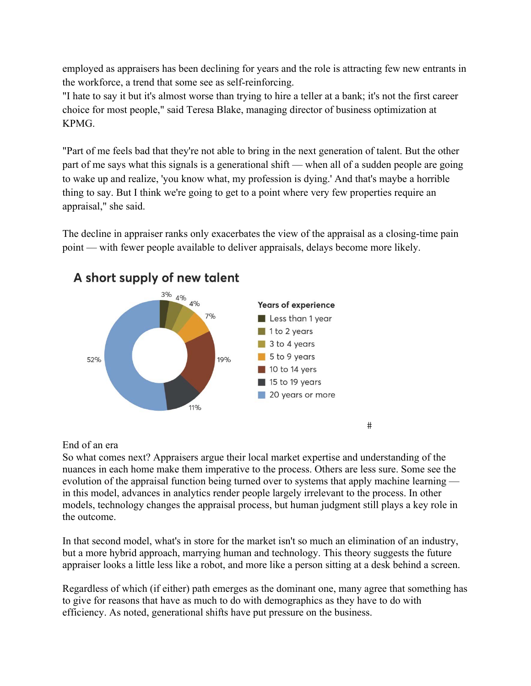employed as appraisers has been declining for years and the role is attracting few new entrants in the workforce, a trend that some see as self-reinforcing.

"I hate to say it but it's almost worse than trying to hire a teller at a bank; it's not the first career choice for most people," said Teresa Blake, managing director of business optimization at KPMG.

"Part of me feels bad that they're not able to bring in the next generation of talent. But the other part of me says what this signals is a generational shift — when all of a sudden people are going to wake up and realize, 'you know what, my profession is dying.' And that's maybe a horrible thing to say. But I think we're going to get to a point where very few properties require an appraisal," she said.

The decline in appraiser ranks only exacerbates the view of the appraisal as a closing-time pain point — with fewer people available to deliver appraisals, delays become more likely.



## A short supply of new talent

### End of an era

So what comes next? Appraisers argue their local market expertise and understanding of the nuances in each home make them imperative to the process. Others are less sure. Some see the evolution of the appraisal function being turned over to systems that apply machine learning in this model, advances in analytics render people largely irrelevant to the process. In other models, technology changes the appraisal process, but human judgment still plays a key role in the outcome.

#

In that second model, what's in store for the market isn't so much an elimination of an industry, but a more hybrid approach, marrying human and technology. This theory suggests the future appraiser looks a little less like a robot, and more like a person sitting at a desk behind a screen.

Regardless of which (if either) path emerges as the dominant one, many agree that something has to give for reasons that have as much to do with demographics as they have to do with efficiency. As noted, generational shifts have put pressure on the business.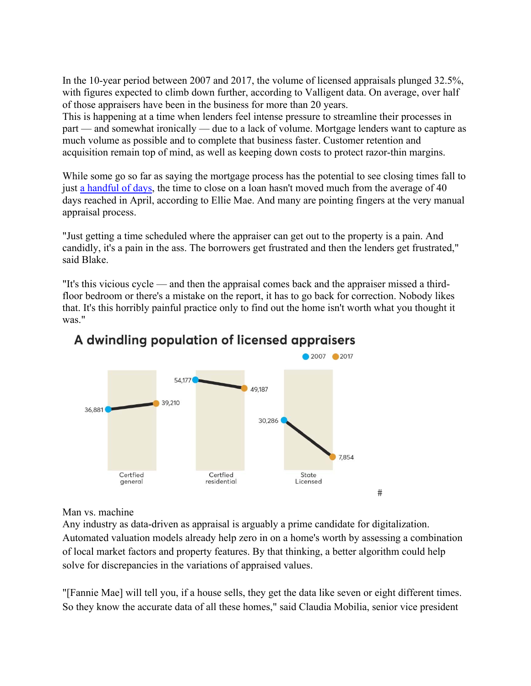In the 10-year period between 2007 and 2017, the volume of licensed appraisals plunged 32.5%, with figures expected to climb down further, according to Valligent data. On average, over half of those appraisers have been in the business for more than 20 years.

This is happening at a time when lenders feel intense pressure to streamline their processes in part — and somewhat ironically — due to a lack of volume. Mortgage lenders want to capture as much volume as possible and to complete that business faster. Customer retention and acquisition remain top of mind, as well as keeping down costs to protect razor-thin margins.

While some go so far as saying the mortgage process has the potential to see closing times fall to just a handful of days, the time to close on a loan hasn't moved much from the average of 40 days reached in April, according to Ellie Mae. And many are pointing fingers at the very manual appraisal process.

"Just getting a time scheduled where the appraiser can get out to the property is a pain. And candidly, it's a pain in the ass. The borrowers get frustrated and then the lenders get frustrated," said Blake.

"It's this vicious cycle — and then the appraisal comes back and the appraiser missed a thirdfloor bedroom or there's a mistake on the report, it has to go back for correction. Nobody likes that. It's this horribly painful practice only to find out the home isn't worth what you thought it was."



## A dwindling population of licensed appraisers

#### Man vs. machine

Any industry as data-driven as appraisal is arguably a prime candidate for digitalization. Automated valuation models already help zero in on a home's worth by assessing a combination of local market factors and property features. By that thinking, a better algorithm could help solve for discrepancies in the variations of appraised values.

"[Fannie Mae] will tell you, if a house sells, they get the data like seven or eight different times. So they know the accurate data of all these homes," said Claudia Mobilia, senior vice president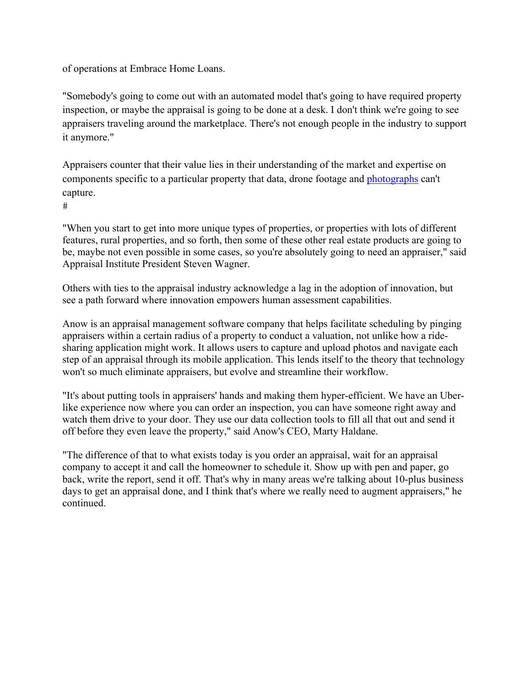of operations at Embrace Home Loans.

"Somebody's going to come out with an automated model that's going to have required property inspection, or maybe the appraisal is going to be done at a desk. I don't think we're going to see appraisers traveling around the marketplace. There's not enough people in the industry to support it anymore."

Appraisers counter that their value lies in their understanding of the market and expertise on components specific to a particular property that data, drone footage and photographs can't capture.

 $#$ 

"When you start to get into more unique types of properties, or properties with lots of different features, rural properties, and so forth, then some of these other real estate products are going to be, maybe not even possible in some cases, so you're absolutely going to need an appraiser," said Appraisal Institute President Steven Wagner.

Others with ties to the appraisal industry acknowledge a lag in the adoption of innovation, but see a path forward where innovation empowers human assessment capabilities.

Anow is an appraisal management software company that helps facilitate scheduling by pinging appraisers within a certain radius of a property to conduct a valuation, not unlike how a ridesharing application might work. It allows users to capture and upload photos and navigate each step of an appraisal through its mobile application. This lends itself to the theory that technology won't so much eliminate appraisers, but evolve and streamline their workflow.

"It's about putting tools in appraisers' hands and making them hyper-efficient. We have an Uberlike experience now where you can order an inspection, you can have someone right away and watch them drive to your door. They use our data collection tools to fill all that out and send it off before they even leave the property," said Anow's CEO, Marty Haldane.

"The difference of that to what exists today is you order an appraisal, wait for an appraisal company to accept it and call the homeowner to schedule it. Show up with pen and paper, go back, write the report, send it off. That's why in many areas we're talking about 10-plus business days to get an appraisal done, and I think that's where we really need to augment appraisers," he continued.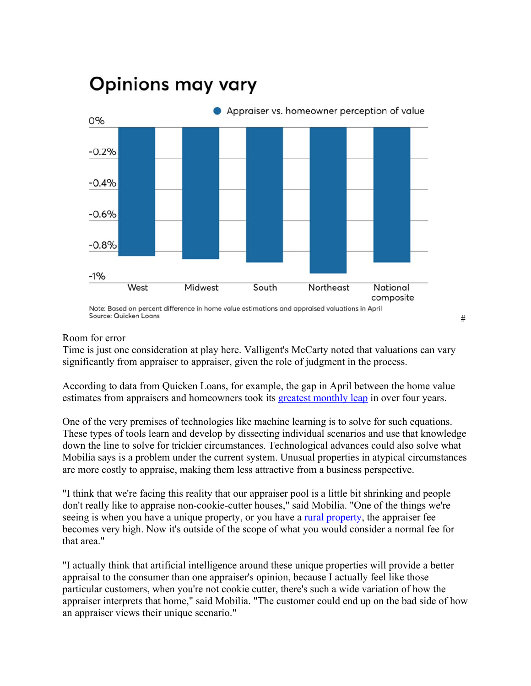

## **Opinions may vary**

#### Room for error

Time is just one consideration at play here. Valligent's McCarty noted that valuations can vary significantly from appraiser to appraiser, given the role of judgment in the process.

 $\#$ 

According to data from Quicken Loans, for example, the gap in April between the home value estimates from appraisers and homeowners took its greatest monthly leap in over four years.

One of the very premises of technologies like machine learning is to solve for such equations. These types of tools learn and develop by dissecting individual scenarios and use that knowledge down the line to solve for trickier circumstances. Technological advances could also solve what Mobilia says is a problem under the current system. Unusual properties in atypical circumstances are more costly to appraise, making them less attractive from a business perspective.

"I think that we're facing this reality that our appraiser pool is a little bit shrinking and people don't really like to appraise non-cookie-cutter houses," said Mobilia. "One of the things we're seeing is when you have a unique property, or you have a rural property, the appraiser fee becomes very high. Now it's outside of the scope of what you would consider a normal fee for that area."

"I actually think that artificial intelligence around these unique properties will provide a better appraisal to the consumer than one appraiser's opinion, because I actually feel like those particular customers, when you're not cookie cutter, there's such a wide variation of how the appraiser interprets that home," said Mobilia. "The customer could end up on the bad side of how an appraiser views their unique scenario."